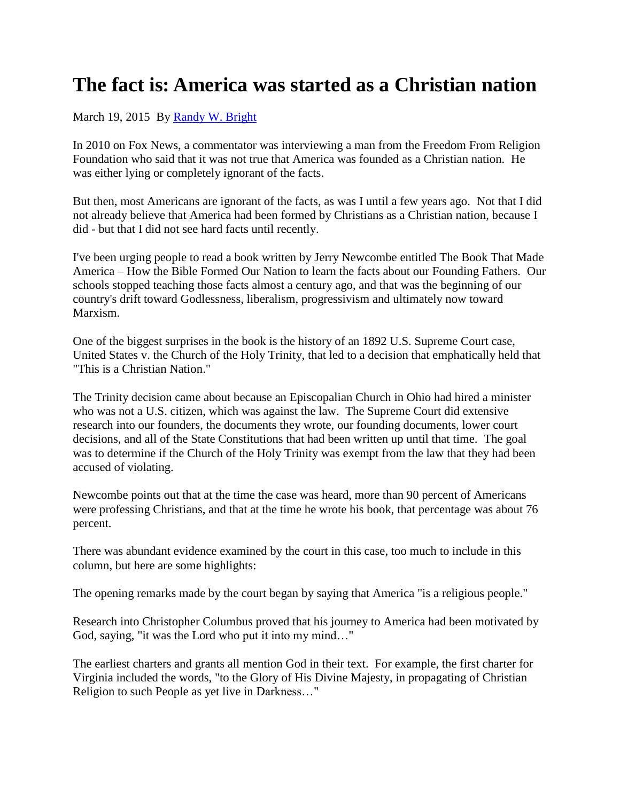## **The fact is: America was started as a Christian nation**

## March 19, 2015 By [Randy W. Bright](http://www.tulsabeacon.com/author/slug-o6yd1v)

In 2010 on Fox News, a commentator was interviewing a man from the Freedom From Religion Foundation who said that it was not true that America was founded as a Christian nation. He was either lying or completely ignorant of the facts.

But then, most Americans are ignorant of the facts, as was I until a few years ago. Not that I did not already believe that America had been formed by Christians as a Christian nation, because I did - but that I did not see hard facts until recently.

I've been urging people to read a book written by Jerry Newcombe entitled The Book That Made America – How the Bible Formed Our Nation to learn the facts about our Founding Fathers. Our schools stopped teaching those facts almost a century ago, and that was the beginning of our country's drift toward Godlessness, liberalism, progressivism and ultimately now toward Marxism.

One of the biggest surprises in the book is the history of an 1892 U.S. Supreme Court case, United States v. the Church of the Holy Trinity, that led to a decision that emphatically held that "This is a Christian Nation."

The Trinity decision came about because an Episcopalian Church in Ohio had hired a minister who was not a U.S. citizen, which was against the law. The Supreme Court did extensive research into our founders, the documents they wrote, our founding documents, lower court decisions, and all of the State Constitutions that had been written up until that time. The goal was to determine if the Church of the Holy Trinity was exempt from the law that they had been accused of violating.

Newcombe points out that at the time the case was heard, more than 90 percent of Americans were professing Christians, and that at the time he wrote his book, that percentage was about 76 percent.

There was abundant evidence examined by the court in this case, too much to include in this column, but here are some highlights:

The opening remarks made by the court began by saying that America "is a religious people."

Research into Christopher Columbus proved that his journey to America had been motivated by God, saying, "it was the Lord who put it into my mind…"

The earliest charters and grants all mention God in their text. For example, the first charter for Virginia included the words, "to the Glory of His Divine Majesty, in propagating of Christian Religion to such People as yet live in Darkness…"